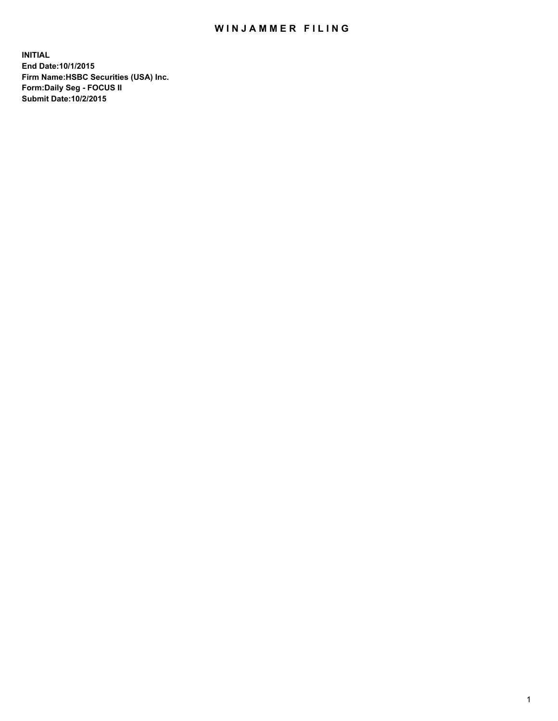## WIN JAMMER FILING

**INITIAL End Date:10/1/2015 Firm Name:HSBC Securities (USA) Inc. Form:Daily Seg - FOCUS II Submit Date:10/2/2015**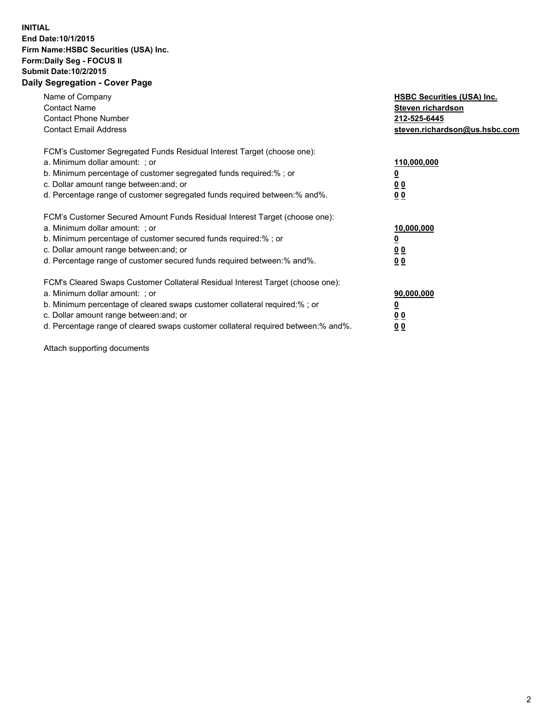## **INITIAL End Date:10/1/2015 Firm Name:HSBC Securities (USA) Inc. Form:Daily Seg - FOCUS II Submit Date:10/2/2015 Daily Segregation - Cover Page**

| Name of Company<br><b>Contact Name</b><br><b>Contact Phone Number</b><br><b>Contact Email Address</b>                                                                                                                                                                                                                         | <b>HSBC Securities (USA) Inc.</b><br>Steven richardson<br>212-525-6445<br>steven.richardson@us.hsbc.com |
|-------------------------------------------------------------------------------------------------------------------------------------------------------------------------------------------------------------------------------------------------------------------------------------------------------------------------------|---------------------------------------------------------------------------------------------------------|
| FCM's Customer Segregated Funds Residual Interest Target (choose one):<br>a. Minimum dollar amount: ; or<br>b. Minimum percentage of customer segregated funds required:%; or<br>c. Dollar amount range between: and; or<br>d. Percentage range of customer segregated funds required between: % and %.                       | 110,000,000<br><u>0</u><br>0 <sub>0</sub><br>0 <sub>0</sub>                                             |
| FCM's Customer Secured Amount Funds Residual Interest Target (choose one):<br>a. Minimum dollar amount: ; or<br>b. Minimum percentage of customer secured funds required:%; or<br>c. Dollar amount range between: and; or<br>d. Percentage range of customer secured funds required between: % and %.                         | 10,000,000<br>0 <sub>0</sub><br>0 <sub>0</sub>                                                          |
| FCM's Cleared Swaps Customer Collateral Residual Interest Target (choose one):<br>a. Minimum dollar amount: ; or<br>b. Minimum percentage of cleared swaps customer collateral required:%; or<br>c. Dollar amount range between: and; or<br>d. Percentage range of cleared swaps customer collateral required between:% and%. | 90,000,000<br><u>0</u><br>00<br><u>00</u>                                                               |

Attach supporting documents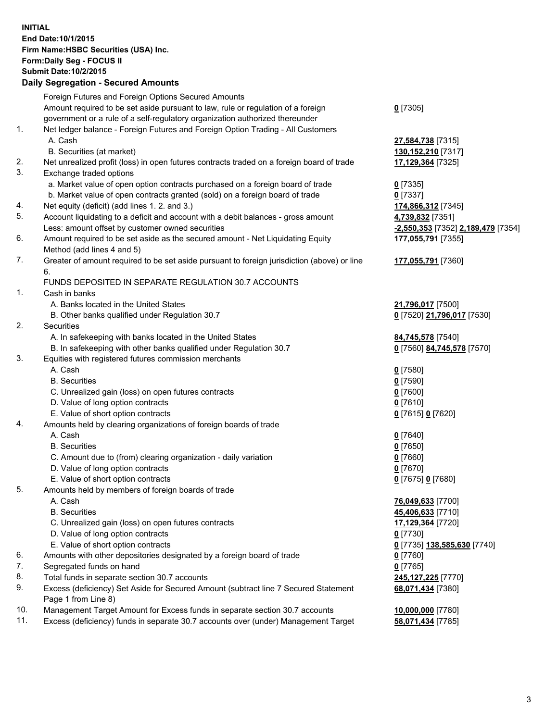**INITIAL End Date:10/1/2015 Firm Name:HSBC Securities (USA) Inc. Form:Daily Seg - FOCUS II Submit Date:10/2/2015 Daily Segregation - Secured Amounts**

Foreign Futures and Foreign Options Secured Amounts Amount required to be set aside pursuant to law, rule or regulation of a foreign government or a rule of a self-regulatory organization authorized thereunder **0** [7305] 1. Net ledger balance - Foreign Futures and Foreign Option Trading - All Customers A. Cash **27,584,738** [7315] B. Securities (at market) **130,152,210** [7317] 2. Net unrealized profit (loss) in open futures contracts traded on a foreign board of trade **17,129,364** [7325] 3. Exchange traded options a. Market value of open option contracts purchased on a foreign board of trade **0** [7335] b. Market value of open contracts granted (sold) on a foreign board of trade **0** [7337] 4. Net equity (deficit) (add lines 1. 2. and 3.) **174,866,312** [7345] 5. Account liquidating to a deficit and account with a debit balances - gross amount **4,739,832** [7351] Less: amount offset by customer owned securities **-2,550,353** [7352] **2,189,479** [7354] 6. Amount required to be set aside as the secured amount - Net Liquidating Equity Method (add lines 4 and 5) **177,055,791** [7355] 7. Greater of amount required to be set aside pursuant to foreign jurisdiction (above) or line 6. **177,055,791** [7360] FUNDS DEPOSITED IN SEPARATE REGULATION 30.7 ACCOUNTS 1. Cash in banks A. Banks located in the United States **21,796,017** [7500] B. Other banks qualified under Regulation 30.7 **0** [7520] **21,796,017** [7530] 2. Securities A. In safekeeping with banks located in the United States **84,745,578** [7540] B. In safekeeping with other banks qualified under Regulation 30.7 **0** [7560] **84,745,578** [7570] 3. Equities with registered futures commission merchants A. Cash **0** [7580] B. Securities **0** [7590] C. Unrealized gain (loss) on open futures contracts **0** [7600] D. Value of long option contracts **0** [7610] E. Value of short option contracts **0** [7615] **0** [7620] 4. Amounts held by clearing organizations of foreign boards of trade A. Cash **0** [7640] B. Securities **0** [7650] C. Amount due to (from) clearing organization - daily variation **0** [7660] D. Value of long option contracts **0** [7670] E. Value of short option contracts **0** [7675] **0** [7680] 5. Amounts held by members of foreign boards of trade A. Cash **76,049,633** [7700] B. Securities **45,406,633** [7710] C. Unrealized gain (loss) on open futures contracts **17,129,364** [7720] D. Value of long option contracts **0** [7730] E. Value of short option contracts **0** [7735] **138,585,630** [7740] 6. Amounts with other depositories designated by a foreign board of trade **0** [7760] 7. Segregated funds on hand **0** [7765] 8. Total funds in separate section 30.7 accounts **245,127,225** [7770] 9. Excess (deficiency) Set Aside for Secured Amount (subtract line 7 Secured Statement Page 1 from Line 8) **68,071,434** [7380] 10. Management Target Amount for Excess funds in separate section 30.7 accounts **10,000,000** [7780] 11. Excess (deficiency) funds in separate 30.7 accounts over (under) Management Target **58,071,434** [7785]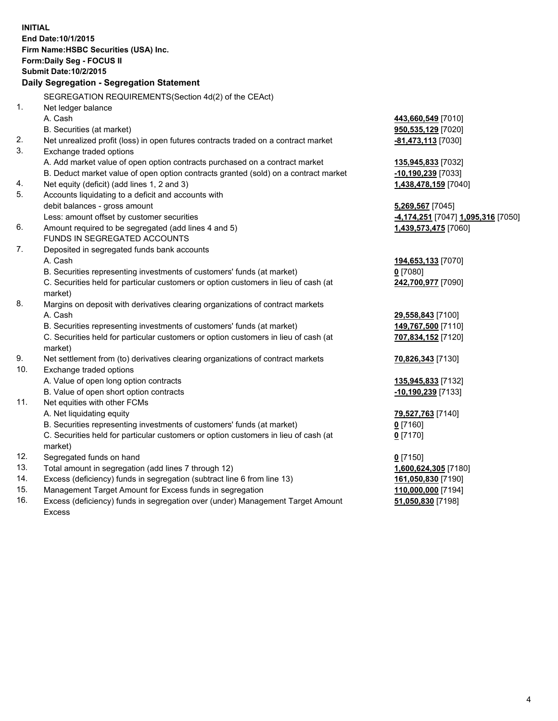| <b>INITIAL</b>                            |                                                                                                |                                    |  |  |  |
|-------------------------------------------|------------------------------------------------------------------------------------------------|------------------------------------|--|--|--|
| End Date: 10/1/2015                       |                                                                                                |                                    |  |  |  |
| Firm Name: HSBC Securities (USA) Inc.     |                                                                                                |                                    |  |  |  |
| Form: Daily Seg - FOCUS II                |                                                                                                |                                    |  |  |  |
| <b>Submit Date: 10/2/2015</b>             |                                                                                                |                                    |  |  |  |
| Daily Segregation - Segregation Statement |                                                                                                |                                    |  |  |  |
|                                           | SEGREGATION REQUIREMENTS (Section 4d(2) of the CEAct)                                          |                                    |  |  |  |
| 1.                                        | Net ledger balance                                                                             |                                    |  |  |  |
|                                           | A. Cash                                                                                        | 443,660,549 [7010]                 |  |  |  |
|                                           | B. Securities (at market)                                                                      | 950,535,129 [7020]                 |  |  |  |
| 2.                                        | Net unrealized profit (loss) in open futures contracts traded on a contract market             | -81,473,113 [7030]                 |  |  |  |
| 3.                                        | Exchange traded options                                                                        |                                    |  |  |  |
|                                           | A. Add market value of open option contracts purchased on a contract market                    | 135,945,833 [7032]                 |  |  |  |
|                                           | B. Deduct market value of open option contracts granted (sold) on a contract market            | -10,190,239 [7033]                 |  |  |  |
| 4.                                        | Net equity (deficit) (add lines 1, 2 and 3)                                                    | 1,438,478,159 [7040]               |  |  |  |
| 5.                                        | Accounts liquidating to a deficit and accounts with                                            |                                    |  |  |  |
|                                           | debit balances - gross amount                                                                  | 5,269,567 [7045]                   |  |  |  |
|                                           | Less: amount offset by customer securities                                                     | -4,174,251 [7047] 1,095,316 [7050] |  |  |  |
| 6.                                        | Amount required to be segregated (add lines 4 and 5)<br>FUNDS IN SEGREGATED ACCOUNTS           | 1,439,573,475 [7060]               |  |  |  |
| 7.                                        | Deposited in segregated funds bank accounts                                                    |                                    |  |  |  |
|                                           | A. Cash                                                                                        | 194,653,133 [7070]                 |  |  |  |
|                                           | B. Securities representing investments of customers' funds (at market)                         | $0$ [7080]                         |  |  |  |
|                                           | C. Securities held for particular customers or option customers in lieu of cash (at            | 242,700,977 [7090]                 |  |  |  |
|                                           | market)                                                                                        |                                    |  |  |  |
| 8.                                        | Margins on deposit with derivatives clearing organizations of contract markets                 |                                    |  |  |  |
|                                           | A. Cash                                                                                        | 29,558,843 [7100]                  |  |  |  |
|                                           | B. Securities representing investments of customers' funds (at market)                         | 149,767,500 [7110]                 |  |  |  |
|                                           | C. Securities held for particular customers or option customers in lieu of cash (at<br>market) | 707,834,152 [7120]                 |  |  |  |
| 9.                                        | Net settlement from (to) derivatives clearing organizations of contract markets                | 70,826,343 [7130]                  |  |  |  |
| 10.                                       | Exchange traded options                                                                        |                                    |  |  |  |
|                                           | A. Value of open long option contracts                                                         | 135,945,833 [7132]                 |  |  |  |
|                                           | B. Value of open short option contracts                                                        | $-10,190,239$ [7133]               |  |  |  |
| 11.                                       | Net equities with other FCMs                                                                   |                                    |  |  |  |
|                                           | A. Net liquidating equity                                                                      | 79,527,763 [7140]                  |  |  |  |
|                                           | B. Securities representing investments of customers' funds (at market)                         | $0$ [7160]                         |  |  |  |
|                                           | C. Securities held for particular customers or option customers in lieu of cash (at            | $0$ [7170]                         |  |  |  |
|                                           | market)                                                                                        |                                    |  |  |  |
| 12.                                       | Segregated funds on hand                                                                       | $0$ [7150]                         |  |  |  |
| 13.                                       | Total amount in segregation (add lines 7 through 12)                                           | 1,600,624,305 [7180]               |  |  |  |
| 14.                                       | Excess (deficiency) funds in segregation (subtract line 6 from line 13)                        | 161,050,830 [7190]                 |  |  |  |
| 15.                                       | Management Target Amount for Excess funds in segregation                                       | 110,000,000 [7194]                 |  |  |  |

16. Excess (deficiency) funds in segregation over (under) Management Target Amount Excess

**51,050,830** [7198]